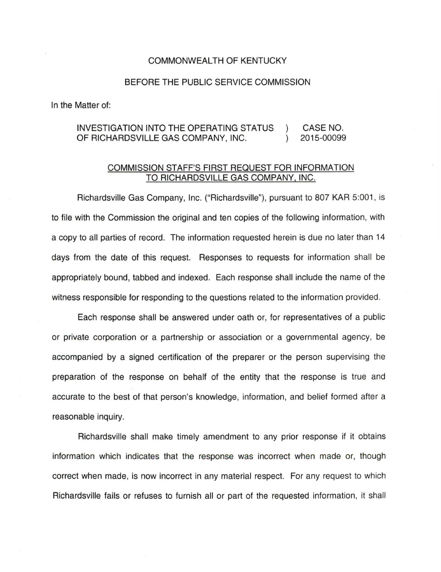## COMMONWEALTH OF KENTUCKY

## BEFORE THE PUBLIC SERVICE COMMISSION

In the Matter of:

## INVESTIGATION INTO THE OPERATING STATUS CASE NO. OF RICHARDSVILLE GAS COMPANY, INC. 2015-00099  $\lambda$

## COMMISSION STAFF'S FIRST REQUEST FOR INFORMATION TO RICHARDSVILLE GAS COMPANY, INC.

Richardsville Gas Company, Inc. ("Richardsville"), pursuant to 807 KAR 5:001 , is to file with the Commission the original and ten copies of the following information, with a copy to all parties of record. The information requested herein is due no later than 14 days from the date of this request. Responses to requests for information shall be appropriately bound, tabbed and indexed. Each response shall include the name of the witness responsible for responding to the questions related to the information provided.

Each response shall be answered under oath or, for representatives of a public or private corporation or a partnership or association or a governmental agency, be accompanied by a signed certification of the preparer or the person supervising the preparation of the response on behalf of the entity that the response is true and accurate to the best of that person's knowledge, information, and belief formed after a reasonable inquiry.

Richardsville shall make timely amendment to any prior response if it obtains information which indicates that the response was incorrect when made or, though correct when made, is now incorrect in any material respect. For any request to which Richardsville fails or refuses to furnish all or part of the requested information, it shall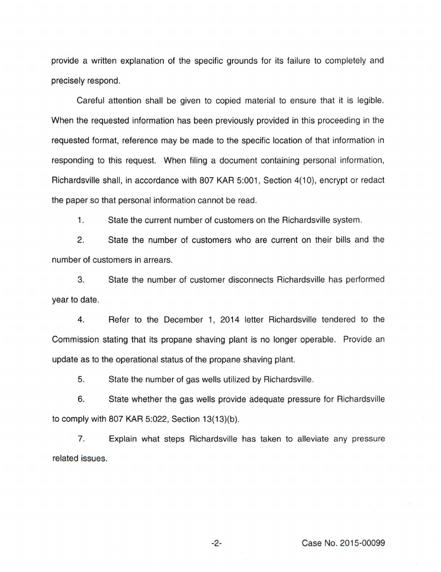provide a written explanation of the specific grounds for its failure to completely and precisely respond.

Careful attention shall be given to copied material to ensure that it is legible. When the requested information has been previously provided in this proceeding in the requested format, reference may be made to the specific location of that information in responding to this request. When filing a document containing personal information, Richardsville shall, in accordance with 807 KAR 5:001, Section 4(10), encrypt or redact the paper so that personal information cannot be read .

1. State the current number of customers on the Richardsville system.

2. State the number of customers who are current on their bills and the number of customers in arrears.

3. State the number of customer disconnects Richardsville has performed year to date.

4. Refer to the December 1, 2014 letter Richardsville tendered to the Commission stating that its propane shaving plant is no longer operable. Provide an update as to the operational status of the propane shaving plant.

5. State the number of gas wells utilized by Richardsville.

6. State whether the gas wells provide adequate pressure for Richardsville to comply with 807 KAR 5:022, Section 13(13)(b).

7. Explain what steps Richardsville has taken to alleviate any pressure related issues.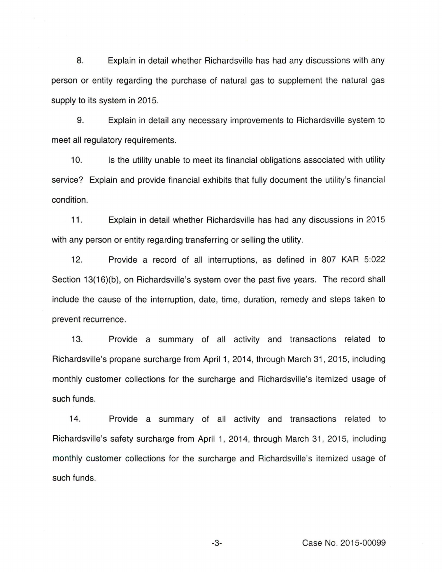8. Explain in detail whether Richardsville has had any discussions with any person or entity regarding the purchase of natural gas to supplement the natural gas supply to its system in 2015.

9. Explain in detail any necessary improvements to Richardsville system to meet all regulatory requirements.

10. Is the utility unable to meet its financial obligations associated with utility service? Explain and provide financial exhibits that fully document the utility's financial condition.

11 . Explain in detail whether Richardsville has had any discussions in 2015 with any person or entity regarding transferring or selling the utility.

12. Provide a record of all interruptions, as defined in 807 KAR 5:022 Section 13(16)(b), on Richardsville's system over the past five years. The record shall include the cause of the interruption, date, time, duration, remedy and steps taken to prevent recurrence.

13. Provide a summary of all activity and transactions related to Richardsville's propane surcharge from April 1, 2014, through March 31, 2015, including monthly customer collections for the surcharge and Richardsville's itemized usage of such funds.

14. Provide a summary of all activity and transactions related to Richardsville's safety surcharge from April 1, 2014, through March 31, 2015, including monthly customer collections for the surcharge and Richardsville's itemized usage of such funds.

-3- Case No. 2015-00099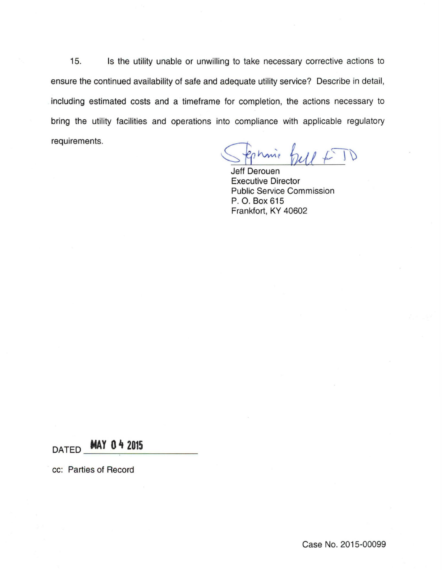15. Is the utility unable or unwilling to take necessary corrective actions to ensure the continued availability of safe and adequate utility service? Describe in detail, including estimated costs and a timeframe for completion, the actions necessary to bring the utility facilities and operations into compliance with applicable regulatory requirements.

Stephnie full + TD

Jeff Derouen Executive Director Public Service Commission P. 0. Box 615 Frankfort, KY 40602

DATED **MAY 0 4 2015** 

cc: Parties of Record

Case No. 2015-00099